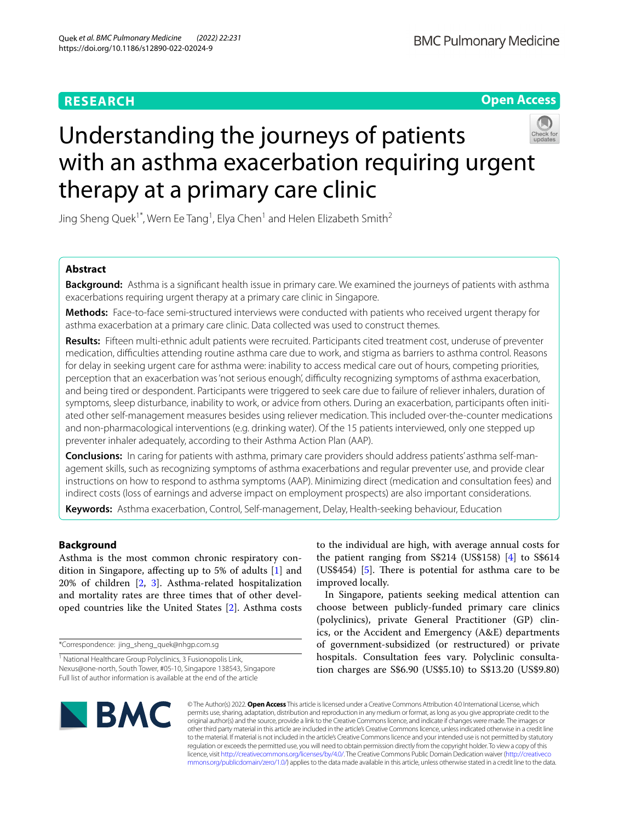# **RESEARCH**

**Open Access**



# Understanding the journeys of patients with an asthma exacerbation requiring urgent therapy at a primary care clinic

Jing Sheng Quek<sup>1\*</sup>, Wern Ee Tang<sup>1</sup>, Elya Chen<sup>1</sup> and Helen Elizabeth Smith<sup>2</sup>

# **Abstract**

**Background:** Asthma is a signifcant health issue in primary care. We examined the journeys of patients with asthma exacerbations requiring urgent therapy at a primary care clinic in Singapore.

**Methods:** Face-to-face semi-structured interviews were conducted with patients who received urgent therapy for asthma exacerbation at a primary care clinic. Data collected was used to construct themes.

**Results:** Fifteen multi-ethnic adult patients were recruited. Participants cited treatment cost, underuse of preventer medication, difculties attending routine asthma care due to work, and stigma as barriers to asthma control. Reasons for delay in seeking urgent care for asthma were: inability to access medical care out of hours, competing priorities, perception that an exacerbation was 'not serious enough', difficulty recognizing symptoms of asthma exacerbation, and being tired or despondent. Participants were triggered to seek care due to failure of reliever inhalers, duration of symptoms, sleep disturbance, inability to work, or advice from others. During an exacerbation, participants often initiated other self-management measures besides using reliever medication. This included over-the-counter medications and non-pharmacological interventions (e.g. drinking water). Of the 15 patients interviewed, only one stepped up preventer inhaler adequately, according to their Asthma Action Plan (AAP).

**Conclusions:** In caring for patients with asthma, primary care providers should address patients' asthma self-management skills, such as recognizing symptoms of asthma exacerbations and regular preventer use, and provide clear instructions on how to respond to asthma symptoms (AAP). Minimizing direct (medication and consultation fees) and indirect costs (loss of earnings and adverse impact on employment prospects) are also important considerations.

**Keywords:** Asthma exacerbation, Control, Self-management, Delay, Health-seeking behaviour, Education

# **Background**

Asthma is the most common chronic respiratory condition in Singapore, afecting up to 5% of adults [[1\]](#page-7-0) and 20% of children [\[2](#page-7-1), [3\]](#page-7-2). Asthma-related hospitalization and mortality rates are three times that of other developed countries like the United States [\[2](#page-7-1)]. Asthma costs

\*Correspondence: jing\_sheng\_quek@nhgp.com.sg

to the individual are high, with average annual costs for the patient ranging from S\$214 (US\$158) [\[4](#page-7-3)] to S\$614 (US\$4[5](#page-7-4)4)  $[5]$ . There is potential for asthma care to be improved locally.

In Singapore, patients seeking medical attention can choose between publicly-funded primary care clinics (polyclinics), private General Practitioner (GP) clinics, or the Accident and Emergency (A&E) departments of government-subsidized (or restructured) or private hospitals. Consultation fees vary. Polyclinic consultation charges are S\$6.90 (US\$5.10) to S\$13.20 (US\$9.80)



© The Author(s) 2022. **Open Access** This article is licensed under a Creative Commons Attribution 4.0 International License, which permits use, sharing, adaptation, distribution and reproduction in any medium or format, as long as you give appropriate credit to the original author(s) and the source, provide a link to the Creative Commons licence, and indicate if changes were made. The images or other third party material in this article are included in the article's Creative Commons licence, unless indicated otherwise in a credit line to the material. If material is not included in the article's Creative Commons licence and your intended use is not permitted by statutory regulation or exceeds the permitted use, you will need to obtain permission directly from the copyright holder. To view a copy of this licence, visit [http://creativecommons.org/licenses/by/4.0/.](http://creativecommons.org/licenses/by/4.0/) The Creative Commons Public Domain Dedication waiver ([http://creativeco](http://creativecommons.org/publicdomain/zero/1.0/) [mmons.org/publicdomain/zero/1.0/](http://creativecommons.org/publicdomain/zero/1.0/)) applies to the data made available in this article, unless otherwise stated in a credit line to the data.

<sup>&</sup>lt;sup>1</sup> National Healthcare Group Polyclinics, 3 Fusionopolis Link, Nexus@one-north, South Tower, #05-10, Singapore 138543, Singapore Full list of author information is available at the end of the article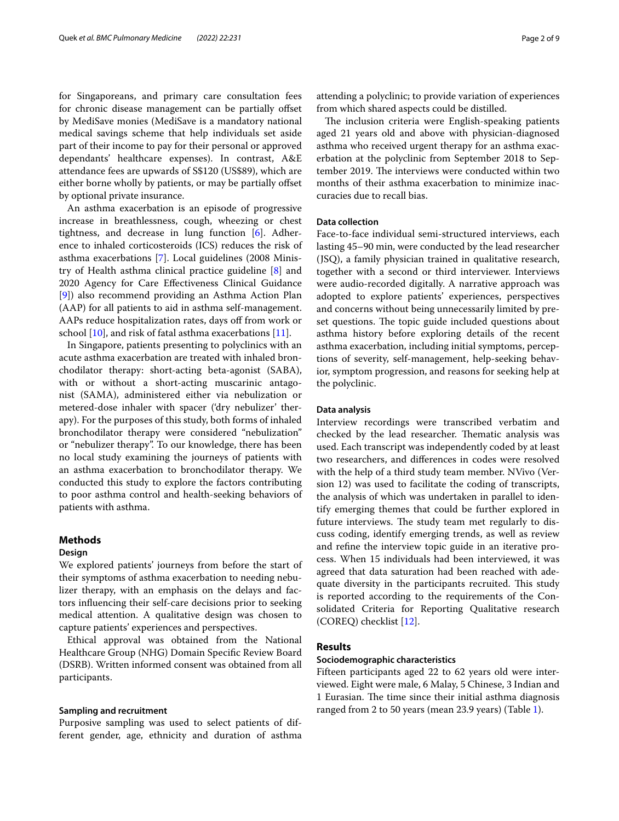for Singaporeans, and primary care consultation fees for chronic disease management can be partially ofset by MediSave monies (MediSave is a mandatory national medical savings scheme that help individuals set aside part of their income to pay for their personal or approved dependants' healthcare expenses). In contrast, A&E attendance fees are upwards of S\$120 (US\$89), which are either borne wholly by patients, or may be partially offset by optional private insurance.

An asthma exacerbation is an episode of progressive increase in breathlessness, cough, wheezing or chest tightness, and decrease in lung function [\[6](#page-7-5)]. Adherence to inhaled corticosteroids (ICS) reduces the risk of asthma exacerbations [\[7](#page-7-6)]. Local guidelines (2008 Ministry of Health asthma clinical practice guideline [\[8](#page-7-7)] and 2020 Agency for Care Efectiveness Clinical Guidance [[9\]](#page-7-8)) also recommend providing an Asthma Action Plan (AAP) for all patients to aid in asthma self-management. AAPs reduce hospitalization rates, days off from work or school [[10\]](#page-7-9), and risk of fatal asthma exacerbations [\[11](#page-7-10)].

In Singapore, patients presenting to polyclinics with an acute asthma exacerbation are treated with inhaled bronchodilator therapy: short-acting beta-agonist (SABA), with or without a short-acting muscarinic antagonist (SAMA), administered either via nebulization or metered-dose inhaler with spacer ('dry nebulizer' therapy). For the purposes of this study, both forms of inhaled bronchodilator therapy were considered "nebulization" or "nebulizer therapy". To our knowledge, there has been no local study examining the journeys of patients with an asthma exacerbation to bronchodilator therapy. We conducted this study to explore the factors contributing to poor asthma control and health-seeking behaviors of patients with asthma.

# **Methods**

# **Design**

We explored patients' journeys from before the start of their symptoms of asthma exacerbation to needing nebulizer therapy, with an emphasis on the delays and factors infuencing their self-care decisions prior to seeking medical attention. A qualitative design was chosen to capture patients' experiences and perspectives.

Ethical approval was obtained from the National Healthcare Group (NHG) Domain Specifc Review Board (DSRB). Written informed consent was obtained from all participants.

#### **Sampling and recruitment**

Purposive sampling was used to select patients of different gender, age, ethnicity and duration of asthma attending a polyclinic; to provide variation of experiences from which shared aspects could be distilled.

The inclusion criteria were English-speaking patients aged 21 years old and above with physician-diagnosed asthma who received urgent therapy for an asthma exacerbation at the polyclinic from September 2018 to September 2019. The interviews were conducted within two months of their asthma exacerbation to minimize inaccuracies due to recall bias.

# **Data collection**

Face-to-face individual semi-structured interviews, each lasting 45–90 min, were conducted by the lead researcher (JSQ), a family physician trained in qualitative research, together with a second or third interviewer. Interviews were audio-recorded digitally. A narrative approach was adopted to explore patients' experiences, perspectives and concerns without being unnecessarily limited by preset questions. The topic guide included questions about asthma history before exploring details of the recent asthma exacerbation, including initial symptoms, perceptions of severity, self-management, help-seeking behavior, symptom progression, and reasons for seeking help at the polyclinic.

#### **Data analysis**

Interview recordings were transcribed verbatim and checked by the lead researcher. Thematic analysis was used. Each transcript was independently coded by at least two researchers, and diferences in codes were resolved with the help of a third study team member. NVivo (Version 12) was used to facilitate the coding of transcripts, the analysis of which was undertaken in parallel to identify emerging themes that could be further explored in future interviews. The study team met regularly to discuss coding, identify emerging trends, as well as review and refne the interview topic guide in an iterative process. When 15 individuals had been interviewed, it was agreed that data saturation had been reached with adequate diversity in the participants recruited. This study is reported according to the requirements of the Consolidated Criteria for Reporting Qualitative research (COREQ) checklist [[12\]](#page-7-11).

# **Results**

#### **Sociodemographic characteristics**

Fifteen participants aged 22 to 62 years old were interviewed. Eight were male, 6 Malay, 5 Chinese, 3 Indian and 1 Eurasian. The time since their initial asthma diagnosis ranged from 2 to 50 years (mean 23.9 years) (Table [1\)](#page-2-0).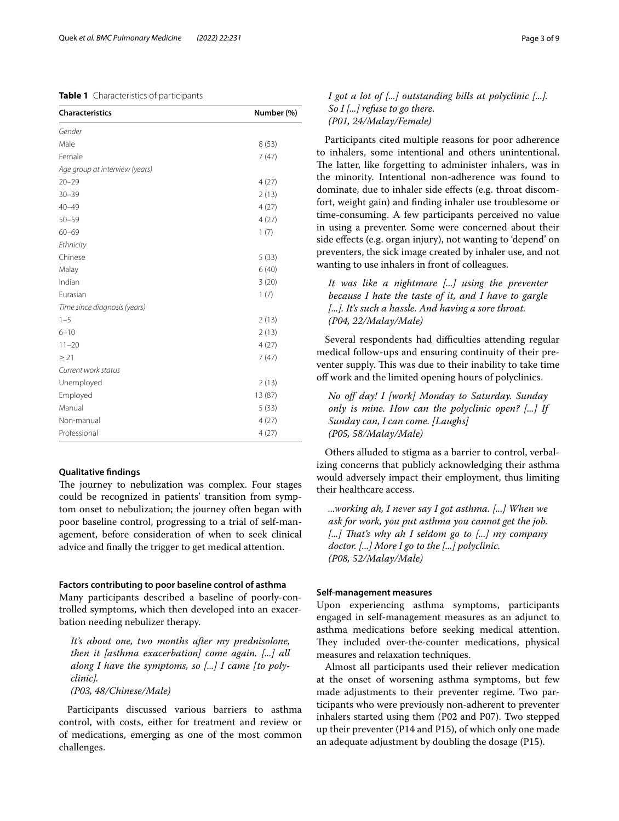# <span id="page-2-0"></span>**Table 1** Characteristics of participants

| Characteristics                | Number (%) |
|--------------------------------|------------|
| Gender                         |            |
| Male                           | 8(53)      |
| Female                         | 7(47)      |
| Age group at interview (years) |            |
| $20 - 29$                      | 4(27)      |
| $30 - 39$                      | 2(13)      |
| $40 - 49$                      | 4(27)      |
| $50 - 59$                      | 4(27)      |
| $60 - 69$                      | 1(7)       |
| Ethnicity                      |            |
| Chinese                        | 5(33)      |
| Malay                          | 6(40)      |
| Indian                         | 3(20)      |
| Eurasian                       | 1(7)       |
| Time since diagnosis (years)   |            |
| $1 - 5$                        | 2(13)      |
| $6 - 10$                       | 2(13)      |
| $11 - 20$                      | 4(27)      |
| $\geq$ 21                      | 7(47)      |
| Current work status            |            |
| Unemployed                     | 2(13)      |
| Employed                       | 13 (87)    |
| Manual                         | 5(33)      |
| Non-manual                     | 4(27)      |
| Professional                   | 4(27)      |

### **Qualitative fndings**

The journey to nebulization was complex. Four stages could be recognized in patients' transition from symptom onset to nebulization; the journey often began with poor baseline control, progressing to a trial of self-management, before consideration of when to seek clinical advice and fnally the trigger to get medical attention.

# **Factors contributing to poor baseline control of asthma**

Many participants described a baseline of poorly-controlled symptoms, which then developed into an exacerbation needing nebulizer therapy.

*It's about one, two months after my prednisolone, then it [asthma exacerbation] come again. [...] all along I have the symptoms, so [...] I came [to polyclinic].*

*(P03, 48/Chinese/Male)*

Participants discussed various barriers to asthma control, with costs, either for treatment and review or of medications, emerging as one of the most common challenges.

# *I got a lot of [...] outstanding bills at polyclinic [...]. So I [...] refuse to go there. (P01, 24/Malay/Female)*

Participants cited multiple reasons for poor adherence to inhalers, some intentional and others unintentional. The latter, like forgetting to administer inhalers, was in the minority. Intentional non-adherence was found to dominate, due to inhaler side efects (e.g. throat discomfort, weight gain) and fnding inhaler use troublesome or time-consuming. A few participants perceived no value in using a preventer. Some were concerned about their side efects (e.g. organ injury), not wanting to 'depend' on preventers, the sick image created by inhaler use, and not wanting to use inhalers in front of colleagues.

It was like a nightmare [...] using the preventer *because I hate the taste of it, and I have to gargle [...]. It's such a hassle. And having a sore throat. (P04, 22/Malay/Male)*

Several respondents had difficulties attending regular medical follow-ups and ensuring continuity of their preventer supply. This was due to their inability to take time of work and the limited opening hours of polyclinics.

*No of day! I [work] Monday to Saturday. Sunday only is mine. How can the polyclinic open? [...] If Sunday can, I can come. [Laughs] (P05, 58/Malay/Male)*

Others alluded to stigma as a barrier to control, verbalizing concerns that publicly acknowledging their asthma would adversely impact their employment, thus limiting their healthcare access.

*...working ah, I never say I got asthma. [...] When we ask for work, you put asthma you cannot get the job. [...] Tat's why ah I seldom go to [...] my company doctor. [...] More I go to the [...] polyclinic. (P08, 52/Malay/Male)*

# **Self‑management measures**

Upon experiencing asthma symptoms, participants engaged in self-management measures as an adjunct to asthma medications before seeking medical attention. They included over-the-counter medications, physical measures and relaxation techniques.

Almost all participants used their reliever medication at the onset of worsening asthma symptoms, but few made adjustments to their preventer regime. Two participants who were previously non-adherent to preventer inhalers started using them (P02 and P07). Two stepped up their preventer (P14 and P15), of which only one made an adequate adjustment by doubling the dosage (P15).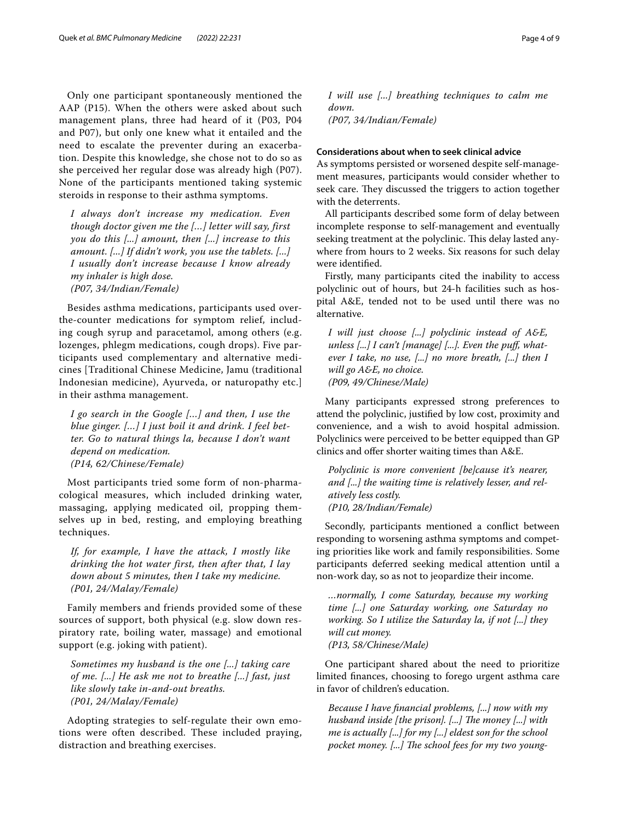Only one participant spontaneously mentioned the AAP (P15). When the others were asked about such management plans, three had heard of it (P03, P04 and P07), but only one knew what it entailed and the need to escalate the preventer during an exacerbation. Despite this knowledge, she chose not to do so as she perceived her regular dose was already high (P07). None of the participants mentioned taking systemic steroids in response to their asthma symptoms.

*I always don't increase my medication. Even though doctor given me the […] letter will say, first you do this [...] amount, then [...] increase to this amount. [...] If didn't work, you use the tablets. [...] I usually don't increase because I know already my inhaler is high dose. (P07, 34/Indian/Female)*

Besides asthma medications, participants used overthe-counter medications for symptom relief, including cough syrup and paracetamol, among others (e.g. lozenges, phlegm medications, cough drops). Five participants used complementary and alternative medicines [Traditional Chinese Medicine, Jamu (traditional Indonesian medicine), Ayurveda, or naturopathy etc.] in their asthma management.

*I go search in the Google […] and then, I use the blue ginger. […] I just boil it and drink. I feel better. Go to natural things la, because I don't want depend on medication. (P14, 62/Chinese/Female)*

Most participants tried some form of non-pharmacological measures, which included drinking water, massaging, applying medicated oil, propping themselves up in bed, resting, and employing breathing techniques.

*If, for example, I have the attack, I mostly like drinking the hot water first, then after that, I lay down about 5 minutes, then I take my medicine. (P01, 24/Malay/Female)*

Family members and friends provided some of these sources of support, both physical (e.g. slow down respiratory rate, boiling water, massage) and emotional support (e.g. joking with patient).

*Sometimes my husband is the one [...] taking care of me. [...] He ask me not to breathe [...] fast, just like slowly take in-and-out breaths. (P01, 24/Malay/Female)*

Adopting strategies to self-regulate their own emotions were often described. These included praying, distraction and breathing exercises.

*I will use [...] breathing techniques to calm me down. (P07, 34/Indian/Female)*

# **Considerations about when to seek clinical advice**

As symptoms persisted or worsened despite self-management measures, participants would consider whether to seek care. They discussed the triggers to action together with the deterrents.

All participants described some form of delay between incomplete response to self-management and eventually seeking treatment at the polyclinic. This delay lasted anywhere from hours to 2 weeks. Six reasons for such delay were identifed.

Firstly, many participants cited the inability to access polyclinic out of hours, but 24-h facilities such as hospital A&E, tended not to be used until there was no alternative.

*I will just choose [...] polyclinic instead of A&E, unless [...] I can't [manage] [...]. Even the puf, whatever I take, no use, [...] no more breath, [...] then I will go A&E, no choice. (P09, 49/Chinese/Male)*

Many participants expressed strong preferences to attend the polyclinic, justifed by low cost, proximity and convenience, and a wish to avoid hospital admission. Polyclinics were perceived to be better equipped than GP clinics and ofer shorter waiting times than A&E.

*Polyclinic is more convenient [be]cause it's nearer, and [...] the waiting time is relatively lesser, and relatively less costly. (P10, 28/Indian/Female)*

Secondly, participants mentioned a confict between responding to worsening asthma symptoms and competing priorities like work and family responsibilities. Some participants deferred seeking medical attention until a non-work day, so as not to jeopardize their income.

*…normally, I come Saturday, because my working time [...] one Saturday working, one Saturday no working. So I utilize the Saturday la, if not [...] they will cut money. (P13, 58/Chinese/Male)*

One participant shared about the need to prioritize limited fnances, choosing to forego urgent asthma care in favor of children's education.

*Because I have fnancial problems, [...] now with my husband inside [the prison]. [...] The money [...] with me is actually [...] for my [...] eldest son for the school*  pocket money. [...] The school fees for my two young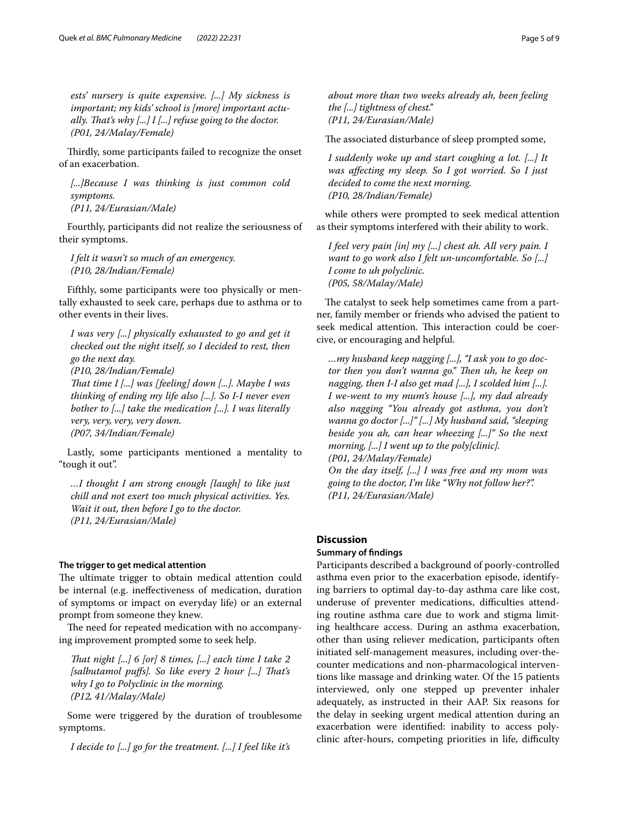*ests' nursery is quite expensive. [...] My sickness is important; my kids' school is [more] important actually. Tat's why [...] I [...] refuse going to the doctor. (P01, 24/Malay/Female)*

Thirdly, some participants failed to recognize the onset of an exacerbation.

*[...]Because I was thinking is just common cold symptoms. (P11, 24/Eurasian/Male)*

Fourthly, participants did not realize the seriousness of their symptoms.

*I felt it wasn't so much of an emergency. (P10, 28/Indian/Female)*

Fifthly, some participants were too physically or mentally exhausted to seek care, perhaps due to asthma or to other events in their lives.

*I was very [...] physically exhausted to go and get it checked out the night itself, so I decided to rest, then go the next day. (P10, 28/Indian/Female) Tat time I [...] was [feeling] down [...]. Maybe I was thinking of ending my life also [...]. So I-I never even bother to [...] take the medication [...]. I was literally very, very, very, very down. (P07, 34/Indian/Female)*

Lastly, some participants mentioned a mentality to "tough it out".

*…I thought I am strong enough [laugh] to like just chill and not exert too much physical activities. Yes. Wait it out, then before I go to the doctor. (P11, 24/Eurasian/Male)*

# **The trigger to get medical attention**

The ultimate trigger to obtain medical attention could be internal (e.g. inefectiveness of medication, duration of symptoms or impact on everyday life) or an external prompt from someone they knew.

The need for repeated medication with no accompanying improvement prompted some to seek help.

*Tat night [...] 6 [or] 8 times, [...] each time I take 2 [salbutamol pufs]. So like every 2 hour [...] Tat's why I go to Polyclinic in the morning. (P12, 41/Malay/Male)*

Some were triggered by the duration of troublesome symptoms.

*I decide to [...] go for the treatment. [...] I feel like it's* 

*about more than two weeks already ah, been feeling the [...] tightness of chest." (P11, 24/Eurasian/Male)*

The associated disturbance of sleep prompted some,

*I suddenly woke up and start coughing a lot. [...] It was afecting my sleep. So I got worried. So I just decided to come the next morning. (P10, 28/Indian/Female)*

while others were prompted to seek medical attention as their symptoms interfered with their ability to work.

*I feel very pain [in] my [...] chest ah. All very pain. I want to go work also I felt un-uncomfortable. So [...] I come to uh polyclinic. (P05, 58/Malay/Male)*

The catalyst to seek help sometimes came from a partner, family member or friends who advised the patient to seek medical attention. This interaction could be coercive, or encouraging and helpful.

*…my husband keep nagging [...], "I ask you to go doctor then you don't wanna go.*" Then uh, he keep on *nagging, then I-I also get mad [...], I scolded him [...]. I we-went to my mum's house [...], my dad already also nagging "You already got asthma, you don't wanna go doctor [...]" [...] My husband said, "sleeping beside you ah, can hear wheezing [...]" So the next morning, [...] I went up to the poly[clinic]. (P01, 24/Malay/Female)*

*On the day itself, [...] I was free and my mom was going to the doctor, I'm like "Why not follow her?". (P11, 24/Eurasian/Male)*

# **Discussion**

# **Summary of fndings**

Participants described a background of poorly-controlled asthma even prior to the exacerbation episode, identifying barriers to optimal day-to-day asthma care like cost, underuse of preventer medications, difficulties attending routine asthma care due to work and stigma limiting healthcare access. During an asthma exacerbation, other than using reliever medication, participants often initiated self-management measures, including over-thecounter medications and non-pharmacological interventions like massage and drinking water. Of the 15 patients interviewed, only one stepped up preventer inhaler adequately, as instructed in their AAP. Six reasons for the delay in seeking urgent medical attention during an exacerbation were identifed: inability to access polyclinic after-hours, competing priorities in life, difficulty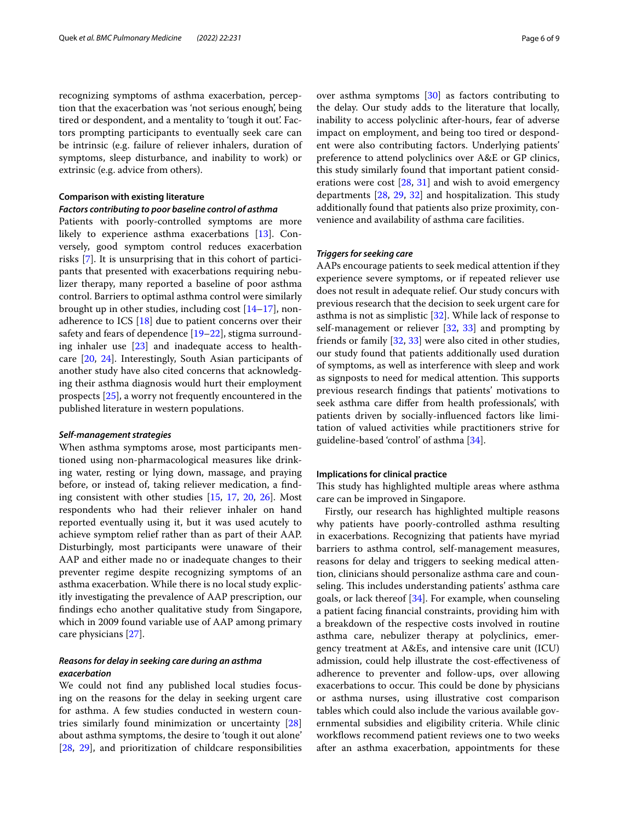recognizing symptoms of asthma exacerbation, perception that the exacerbation was 'not serious enough', being tired or despondent, and a mentality to 'tough it out'. Factors prompting participants to eventually seek care can be intrinsic (e.g. failure of reliever inhalers, duration of symptoms, sleep disturbance, and inability to work) or extrinsic (e.g. advice from others).

# **Comparison with existing literature**

# *Factors contributing to poor baseline control of asthma*

Patients with poorly-controlled symptoms are more likely to experience asthma exacerbations [[13](#page-7-12)]. Conversely, good symptom control reduces exacerbation risks [\[7](#page-7-6)]. It is unsurprising that in this cohort of participants that presented with exacerbations requiring nebulizer therapy, many reported a baseline of poor asthma control. Barriers to optimal asthma control were similarly brought up in other studies, including cost [\[14](#page-7-13)[–17\]](#page-7-14), nonadherence to ICS [\[18\]](#page-7-15) due to patient concerns over their safety and fears of dependence [\[19](#page-7-16)[–22\]](#page-7-17), stigma surrounding inhaler use [[23\]](#page-7-18) and inadequate access to healthcare [\[20,](#page-7-19) [24\]](#page-7-20). Interestingly, South Asian participants of another study have also cited concerns that acknowledging their asthma diagnosis would hurt their employment prospects [[25\]](#page-7-21), a worry not frequently encountered in the published literature in western populations.

#### *Self‑management strategies*

When asthma symptoms arose, most participants mentioned using non-pharmacological measures like drinking water, resting or lying down, massage, and praying before, or instead of, taking reliever medication, a fnding consistent with other studies [\[15](#page-7-22), [17](#page-7-14), [20,](#page-7-19) [26\]](#page-7-23). Most respondents who had their reliever inhaler on hand reported eventually using it, but it was used acutely to achieve symptom relief rather than as part of their AAP. Disturbingly, most participants were unaware of their AAP and either made no or inadequate changes to their preventer regime despite recognizing symptoms of an asthma exacerbation. While there is no local study explicitly investigating the prevalence of AAP prescription, our fndings echo another qualitative study from Singapore, which in 2009 found variable use of AAP among primary care physicians [\[27\]](#page-7-24).

# *Reasons for delay in seeking care during an asthma exacerbation*

We could not fnd any published local studies focusing on the reasons for the delay in seeking urgent care for asthma. A few studies conducted in western countries similarly found minimization or uncertainty [[28](#page-7-25)] about asthma symptoms, the desire to 'tough it out alone' [[28,](#page-7-25) [29](#page-7-26)], and prioritization of childcare responsibilities over asthma symptoms [[30](#page-7-27)] as factors contributing to the delay. Our study adds to the literature that locally, inability to access polyclinic after-hours, fear of adverse impact on employment, and being too tired or despondent were also contributing factors. Underlying patients' preference to attend polyclinics over A&E or GP clinics, this study similarly found that important patient considerations were cost [\[28,](#page-7-25) [31](#page-7-28)] and wish to avoid emergency departments  $[28, 29, 32]$  $[28, 29, 32]$  $[28, 29, 32]$  $[28, 29, 32]$  $[28, 29, 32]$  $[28, 29, 32]$  and hospitalization. This study additionally found that patients also prize proximity, convenience and availability of asthma care facilities.

#### *Triggers for seeking care*

AAPs encourage patients to seek medical attention if they experience severe symptoms, or if repeated reliever use does not result in adequate relief. Our study concurs with previous research that the decision to seek urgent care for asthma is not as simplistic [\[32](#page-7-29)]. While lack of response to self-management or reliever [[32](#page-7-29), [33](#page-7-30)] and prompting by friends or family [[32](#page-7-29), [33](#page-7-30)] were also cited in other studies, our study found that patients additionally used duration of symptoms, as well as interference with sleep and work as signposts to need for medical attention. This supports previous research fndings that patients' motivations to seek asthma care difer from health professionals', with patients driven by socially-infuenced factors like limitation of valued activities while practitioners strive for guideline-based 'control' of asthma [\[34](#page-7-31)].

# **Implications for clinical practice**

This study has highlighted multiple areas where asthma care can be improved in Singapore.

Firstly, our research has highlighted multiple reasons why patients have poorly-controlled asthma resulting in exacerbations. Recognizing that patients have myriad barriers to asthma control, self-management measures, reasons for delay and triggers to seeking medical attention, clinicians should personalize asthma care and counseling. This includes understanding patients' asthma care goals, or lack thereof  $[34]$  $[34]$ . For example, when counseling a patient facing fnancial constraints, providing him with a breakdown of the respective costs involved in routine asthma care, nebulizer therapy at polyclinics, emergency treatment at A&Es, and intensive care unit (ICU) admission, could help illustrate the cost-efectiveness of adherence to preventer and follow-ups, over allowing exacerbations to occur. This could be done by physicians or asthma nurses, using illustrative cost comparison tables which could also include the various available governmental subsidies and eligibility criteria. While clinic workflows recommend patient reviews one to two weeks after an asthma exacerbation, appointments for these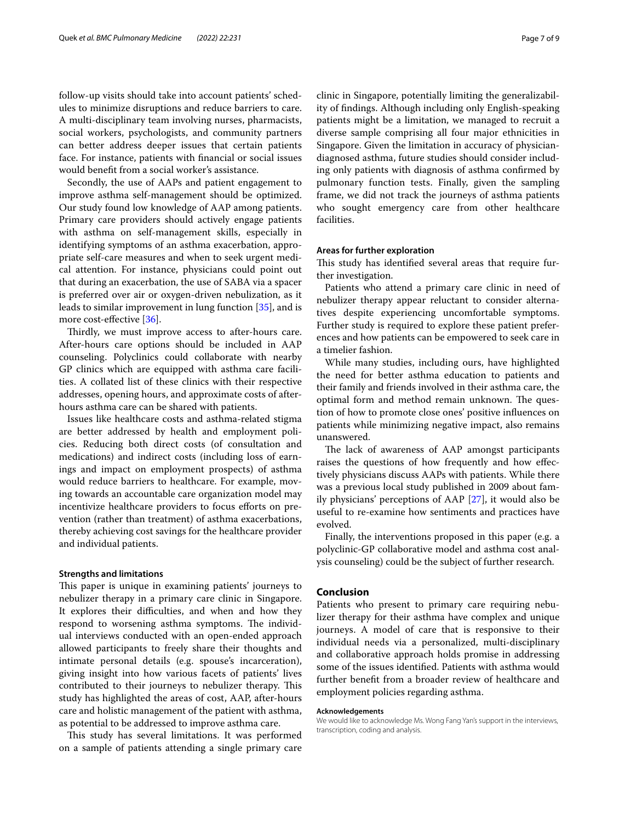follow-up visits should take into account patients' schedules to minimize disruptions and reduce barriers to care. A multi-disciplinary team involving nurses, pharmacists, social workers, psychologists, and community partners can better address deeper issues that certain patients face. For instance, patients with fnancial or social issues would beneft from a social worker's assistance.

Secondly, the use of AAPs and patient engagement to improve asthma self-management should be optimized. Our study found low knowledge of AAP among patients. Primary care providers should actively engage patients with asthma on self-management skills, especially in identifying symptoms of an asthma exacerbation, appropriate self-care measures and when to seek urgent medical attention. For instance, physicians could point out that during an exacerbation, the use of SABA via a spacer is preferred over air or oxygen-driven nebulization, as it leads to similar improvement in lung function [\[35\]](#page-8-0), and is more cost-effective [\[36\]](#page-8-1).

Thirdly, we must improve access to after-hours care. After-hours care options should be included in AAP counseling. Polyclinics could collaborate with nearby GP clinics which are equipped with asthma care facilities. A collated list of these clinics with their respective addresses, opening hours, and approximate costs of afterhours asthma care can be shared with patients.

Issues like healthcare costs and asthma-related stigma are better addressed by health and employment policies. Reducing both direct costs (of consultation and medications) and indirect costs (including loss of earnings and impact on employment prospects) of asthma would reduce barriers to healthcare. For example, moving towards an accountable care organization model may incentivize healthcare providers to focus efforts on prevention (rather than treatment) of asthma exacerbations, thereby achieving cost savings for the healthcare provider and individual patients.

#### **Strengths and limitations**

This paper is unique in examining patients' journeys to nebulizer therapy in a primary care clinic in Singapore. It explores their difficulties, and when and how they respond to worsening asthma symptoms. The individual interviews conducted with an open-ended approach allowed participants to freely share their thoughts and intimate personal details (e.g. spouse's incarceration), giving insight into how various facets of patients' lives contributed to their journeys to nebulizer therapy. This study has highlighted the areas of cost, AAP, after-hours care and holistic management of the patient with asthma, as potential to be addressed to improve asthma care.

This study has several limitations. It was performed on a sample of patients attending a single primary care clinic in Singapore, potentially limiting the generalizability of fndings. Although including only English-speaking patients might be a limitation, we managed to recruit a diverse sample comprising all four major ethnicities in Singapore. Given the limitation in accuracy of physiciandiagnosed asthma, future studies should consider including only patients with diagnosis of asthma confrmed by pulmonary function tests. Finally, given the sampling frame, we did not track the journeys of asthma patients who sought emergency care from other healthcare facilities.

# **Areas for further exploration**

This study has identified several areas that require further investigation.

Patients who attend a primary care clinic in need of nebulizer therapy appear reluctant to consider alternatives despite experiencing uncomfortable symptoms. Further study is required to explore these patient preferences and how patients can be empowered to seek care in a timelier fashion.

While many studies, including ours, have highlighted the need for better asthma education to patients and their family and friends involved in their asthma care, the optimal form and method remain unknown. The question of how to promote close ones' positive infuences on patients while minimizing negative impact, also remains unanswered.

The lack of awareness of AAP amongst participants raises the questions of how frequently and how efectively physicians discuss AAPs with patients. While there was a previous local study published in 2009 about family physicians' perceptions of AAP [[27](#page-7-24)], it would also be useful to re-examine how sentiments and practices have evolved.

Finally, the interventions proposed in this paper (e.g. a polyclinic-GP collaborative model and asthma cost analysis counseling) could be the subject of further research.

# **Conclusion**

Patients who present to primary care requiring nebulizer therapy for their asthma have complex and unique journeys. A model of care that is responsive to their individual needs via a personalized, multi-disciplinary and collaborative approach holds promise in addressing some of the issues identifed. Patients with asthma would further beneft from a broader review of healthcare and employment policies regarding asthma.

#### **Acknowledgements**

We would like to acknowledge Ms. Wong Fang Yan's support in the interviews, transcription, coding and analysis.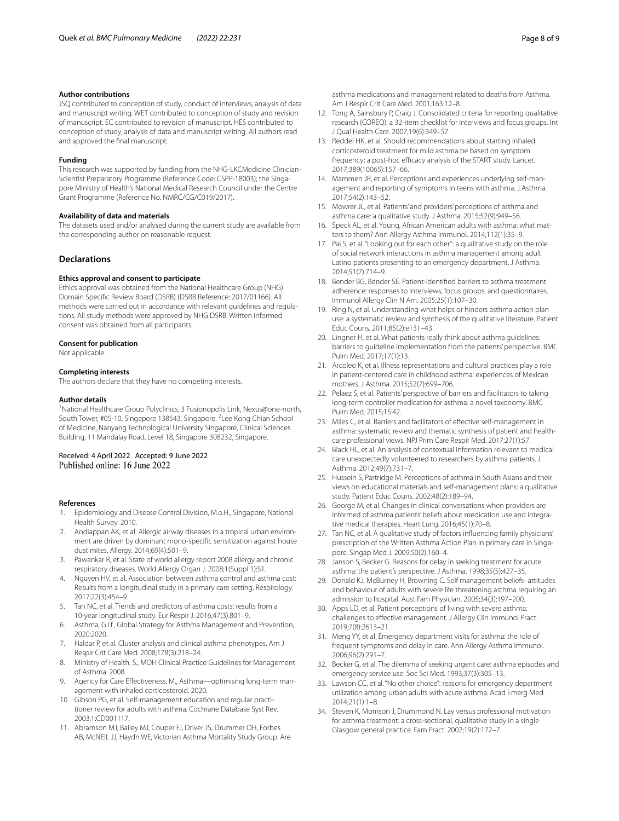#### **Author contributions**

JSQ contributed to conception of study, conduct of interviews, analysis of data and manuscript writing. WET contributed to conception of study and revision of manuscript. EC contributed to revision of manuscript. HES contributed to conception of study, analysis of data and manuscript writing. All authors read and approved the fnal manuscript.

#### **Funding**

This research was supported by funding from the NHG-LKCMedicine Clinician-Scientist Preparatory Programme (Reference Code: CSPP-18003); the Singapore Ministry of Health's National Medical Research Council under the Centre Grant Programme (Reference No. NMRC/CG/C019/2017).

#### **Availability of data and materials**

The datasets used and/or analysed during the current study are available from the corresponding author on reasonable request.

# **Declarations**

#### **Ethics approval and consent to participate**

Ethics approval was obtained from the National Healthcare Group (NHG) Domain Specifc Review Board (DSRB) (DSRB Reference: 2017/01166). All methods were carried out in accordance with relevant guidelines and regulations. All study methods were approved by NHG DSRB. Written informed consent was obtained from all participants.

#### **Consent for publication**

Not applicable.

#### **Completing interests**

The authors declare that they have no competing interests.

#### **Author details**

<sup>1</sup> National Healthcare Group Polyclinics, 3 Fusionopolis Link, Nexus@one-north, South Tower, #05-10, Singapore 138543, Singapore. <sup>2</sup> Lee Kong Chian School of Medicine, Nanyang Technological University Singapore, Clinical Sciences Building, 11 Mandalay Road, Level 18, Singapore 308232, Singapore.

# Received: 4 April 2022 Accepted: 9 June 2022

#### **References**

- <span id="page-7-0"></span>1. Epidemiology and Disease Control Division, M.o.H., Singapore, National Health Survey. 2010.
- <span id="page-7-1"></span>2. Andiappan AK, et al. Allergic airway diseases in a tropical urban environment are driven by dominant mono-specifc sensitization against house dust mites. Allergy. 2014;69(4):501–9.
- <span id="page-7-2"></span>3. Pawankar R, et al. State of world allergy report 2008 allergy and chronic respiratory diseases. World Allergy Organ J. 2008;1(Suppl 1):S1.
- <span id="page-7-3"></span>4. Nguyen HV, et al. Association between asthma control and asthma cost: Results from a longitudinal study in a primary care setting. Respirology. 2017;22(3):454–9.
- <span id="page-7-4"></span>5. Tan NC, et al. Trends and predictors of asthma costs: results from a 10-year longitudinal study. Eur Respir J. 2016;47(3):801–9.
- <span id="page-7-5"></span>6. Asthma, G.I.f., Global Strategy for Asthma Management and Prevention, 2020;2020.
- <span id="page-7-6"></span>7. Haldar P, et al. Cluster analysis and clinical asthma phenotypes. Am J Respir Crit Care Med. 2008;178(3):218–24.
- <span id="page-7-7"></span>8. Ministry of Health, S., MOH Clinical Practice Guidelines for Management of Asthma. 2008.
- <span id="page-7-8"></span>9. Agency for Care Effectiveness, M., Asthma-optimising long-term management with inhaled corticosteroid. 2020.
- <span id="page-7-9"></span>10. Gibson PG, et al. Self-management education and regular practitioner review for adults with asthma. Cochrane Database Syst Rev. 2003;1:CD001117.
- <span id="page-7-10"></span>11. Abramson MJ, Bailey MJ, Couper FJ, Driver JS, Drummer OH, Forbes AB, McNEIL JJ, Haydn WE, Victorian Asthma Mortality Study Group. Are

asthma medications and management related to deaths from Asthma. Am J Respir Crit Care Med. 2001;163:12–8.

- <span id="page-7-11"></span>12. Tong A, Sainsbury P, Craig J. Consolidated criteria for reporting qualitative research (COREQ): a 32-item checklist for interviews and focus groups. Int J Qual Health Care. 2007;19(6):349–57.
- <span id="page-7-12"></span>13. Reddel HK, et al. Should recommendations about starting inhaled corticosteroid treatment for mild asthma be based on symptom frequency: a post-hoc efficacy analysis of the START study. Lancet. 2017;389(10065):157–66.
- <span id="page-7-13"></span>14. Mammen JR, et al. Perceptions and experiences underlying self-management and reporting of symptoms in teens with asthma. J Asthma. 2017;54(2):143–52.
- <span id="page-7-22"></span>15. Mowrer JL, et al. Patients' and providers' perceptions of asthma and asthma care: a qualitative study. J Asthma. 2015;52(9):949–56.
- 16. Speck AL, et al. Young, African American adults with asthma: what matters to them? Ann Allergy Asthma Immunol. 2014;112(1):35–9.
- <span id="page-7-14"></span>17. Pai S, et al. "Looking out for each other": a qualitative study on the role of social network interactions in asthma management among adult Latino patients presenting to an emergency department. J Asthma. 2014;51(7):714–9.
- <span id="page-7-15"></span>18. Bender BG, Bender SE. Patient-identifed barriers to asthma treatment adherence: responses to interviews, focus groups, and questionnaires. Immunol Allergy Clin N Am. 2005;25(1):107–30.
- <span id="page-7-16"></span>19. Ring N, et al. Understanding what helps or hinders asthma action plan use: a systematic review and synthesis of the qualitative literature. Patient Educ Couns. 2011;85(2):e131–43.
- <span id="page-7-19"></span>20. Lingner H, et al. What patients really think about asthma guidelines: barriers to guideline implementation from the patients' perspective. BMC Pulm Med. 2017;17(1):13.
- 21. Arcoleo K, et al. Illness representations and cultural practices play a role in patient-centered care in childhood asthma: experiences of Mexican mothers. J Asthma. 2015;52(7):699–706.
- <span id="page-7-17"></span>22. Pelaez S, et al. Patients' perspective of barriers and facilitators to taking long-term controller medication for asthma: a novel taxonomy. BMC Pulm Med. 2015;15:42.
- <span id="page-7-18"></span>23. Miles C, et al. Barriers and facilitators of effective self-management in asthma: systematic review and thematic synthesis of patient and healthcare professional views. NPJ Prim Care Respir Med. 2017;27(1):57.
- <span id="page-7-20"></span>24. Black HL, et al. An analysis of contextual information relevant to medical care unexpectedly volunteered to researchers by asthma patients. J Asthma. 2012;49(7):731–7.
- <span id="page-7-21"></span>25. Hussein S, Partridge M. Perceptions of asthma in South Asians and their views on educational materials and self-management plans: a qualitative study. Patient Educ Couns. 2002;48(2):189–94.
- <span id="page-7-23"></span>26. George M, et al. Changes in clinical conversations when providers are informed of asthma patients' beliefs about medication use and integrative medical therapies. Heart Lung. 2016;45(1):70–8.
- <span id="page-7-24"></span>27. Tan NC, et al. A qualitative study of factors infuencing family physicians' prescription of the Written Asthma Action Plan in primary care in Singapore. Singap Med J. 2009;50(2):160–4.
- <span id="page-7-25"></span>28. Janson S, Becker G. Reasons for delay in seeking treatment for acute asthma: the patient's perspective. J Asthma. 1998;35(5):427–35.
- <span id="page-7-26"></span>29. Donald KJ, McBurney H, Browning C. Self management beliefs–attitudes and behaviour of adults with severe life threatening asthma requiring an admission to hospital. Aust Fam Physician. 2005;34(3):197–200.
- <span id="page-7-27"></span>30. Apps LD, et al. Patient perceptions of living with severe asthma: challenges to efective management. J Allergy Clin Immunol Pract. 2019;7(8):2613–21.
- <span id="page-7-28"></span>31. Meng YY, et al. Emergency department visits for asthma: the role of frequent symptoms and delay in care. Ann Allergy Asthma Immunol. 2006;96(2):291–7.
- <span id="page-7-29"></span>32. Becker G, et al. The dilemma of seeking urgent care: asthma episodes and emergency service use. Soc Sci Med. 1993;37(3):305–13.
- <span id="page-7-30"></span>33. Lawson CC, et al. "No other choice": reasons for emergency department utilization among urban adults with acute asthma. Acad Emerg Med. 2014;21(1):1–8.
- <span id="page-7-31"></span>34. Steven K, Morrison J, Drummond N. Lay versus professional motivation for asthma treatment: a cross-sectional, qualitative study in a single Glasgow general practice. Fam Pract. 2002;19(2):172–7.